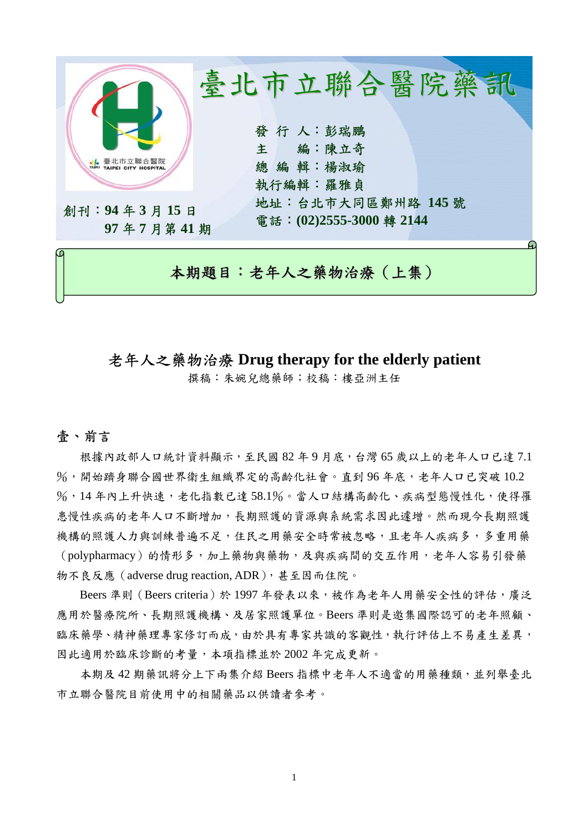

# 老年人之藥物治療 **Drug therapy for the elderly patient**

撰稿:朱婉兒總藥師;校稿:樓亞洲主任

### 壹、前言

根據內政部人口統計資料顯示,至民國 82年9月底,台灣 65歲以上的老年人口已達 7.1 %,開始躋身聯合國世界衛生組織界定的高齡化社會。直到96年底,老年人口已突破10.2 %,14年內上升快速,老化指數已達 58.1%。當人口結構高齡化、疾病型態慢性化,使得罹 患慢性疾病的老年人口不斷增加,長期照護的資源與系統需求因此遽增。然而現今長期照護 機構的照護人力與訓練普遍不足,住民之用藥安全時常被忽略,且老年人疾病多,多重用藥 (polypharmacy)的情形多,加上藥物與藥物,及與疾病間的交互作用,老年人容易引發藥 物不良反應(adverse drug reaction, ADR),甚至因而住院。

Beers 準則 (Beers criteria)於 1997 年發表以來,被作為老年人用藥安全性的評估,廣泛 應用於醫療院所、長期照護機構、及居家照護單位。Beers 準則是邀集國際認可的老年照顧、 臨床藥學、精神藥理專家修訂而成,由於具有專家共識的客觀性,執行評估上不易產生差異, 因此適用於臨床診斷的考量,本項指標並於 2002 年完成更新。

本期及 42 期藥訊將分上下兩集介紹 Beers 指標中老年人不適當的用藥種類,並列舉臺北 市立聯合醫院目前使用中的相關藥品以供讀者參考。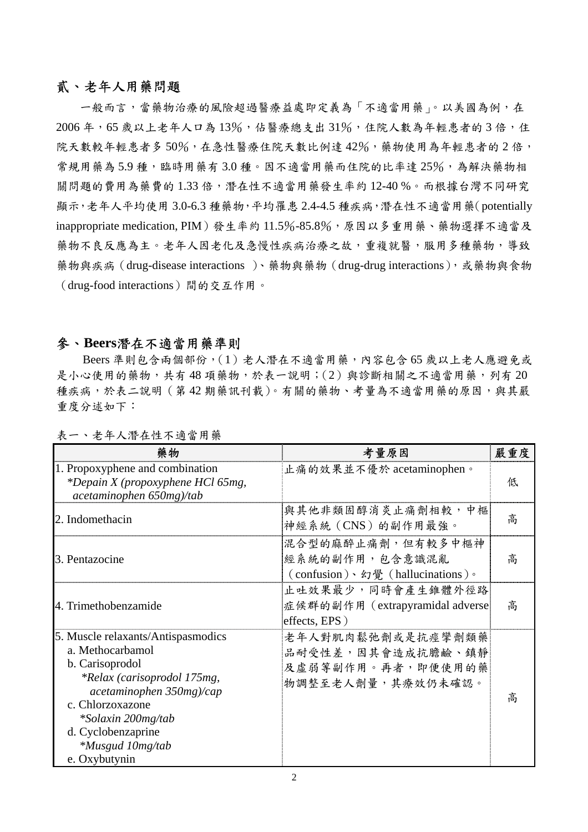#### 貳、老年人用藥問題

一般而言,當藥物治療的風險超過醫療益處即定義為「不適當用藥」。以美國為例,在 2006年,65 歲以上老年人口為13%,估醫療總支出31%,住院人數為年輕患者的3倍,住 院天數較年輕患者多50%,在急性醫療住院天數比例達42%,藥物使用為年輕患者的2倍, 常規用藥為 5.9 種,臨時用藥有 3.0 種。因不適當用藥而住院的比率達 25%,為解決藥物相 關問題的費用為藥費的1.33倍,潛在性不適當用藥發生率約12-40%。而根據台灣不同研究 顯示,老年人平均使用 3.0-6.3 種藥物,平均罹患 2.4-4.5 種疾病,潛在性不適當用藥(potentially inappropriate medication, PIM)發生率約 11.5%-85.8%,原因以多重用藥、藥物選擇不適當及 藥物不良反應為主。老年人因老化及急慢性疾病治療之故,重複就醫,服用多種藥物,導致 藥物與疾病(drug-disease interactions )、藥物與藥物(drug-drug interactions),或藥物與食物 (drug-food interactions)間的交互作用。

#### 參、**Beers**潛在不適當用藥準則

Beers 準則包含兩個部份,(1)老人潛在不適當用藥,內容包含 65 歲以上老人應避免或 是小心使用的藥物,共有48 項藥物,於表一說明;(2)與診斷相關之不適當用藥,列有20 種疾病,於表二說明(第42期藥訊刊載)。有關的藥物、考量為不適當用藥的原因,與其嚴 重度分述如下:

| 藥物                                                                                                                                                                                                                                                      | 考量原因                                                                             | 嚴重度 |
|---------------------------------------------------------------------------------------------------------------------------------------------------------------------------------------------------------------------------------------------------------|----------------------------------------------------------------------------------|-----|
| 1. Propoxyphene and combination<br>*Depain X (propoxyphene HCl 65mg,<br>acetaminophen 650mg)/tab                                                                                                                                                        | 止痛的效果並不優於 acetaminophen。                                                         | 低   |
| 2. Indomethacin                                                                                                                                                                                                                                         | 與其他非類固醇消炎止痛劑相較,中樞<br>神經系統 (CNS) 的副作用最強。                                          | 高   |
| 3. Pentazocine                                                                                                                                                                                                                                          | 混合型的麻醉止痛劑,但有較多中樞神<br>經系統的副作用,包含意識混亂<br>(confusion)、幻覺 (hallucinations)。          | 高   |
| 4. Trimethobenzamide                                                                                                                                                                                                                                    | 止吐效果最少,同時會產生錐體外徑路<br>症候群的副作用 (extrapyramidal adverse<br>effects, EPS)            | 高   |
| 5. Muscle relaxants/Antispasmodics<br>a. Methocarbamol<br>b. Carisoprodol<br><i>*Relax (carisoprodol 175mg,</i><br>acetaminophen 350mg)/cap<br>c. Chlorzoxazone<br>*Solaxin 200mg/tab<br>d. Cyclobenzaprine<br><i>*Musgud 10mg/tab</i><br>e. Oxybutynin | 老年人對肌肉鬆弛劑或是抗痙攣劑類藥<br>品耐受性差,因其會造成抗膽鹼、鎮靜<br>及虛弱等副作用。再者,即便使用的藥<br>物調整至老人劑量,其療效仍未確認。 | 高   |

表一、老年人潛在性不適當用藥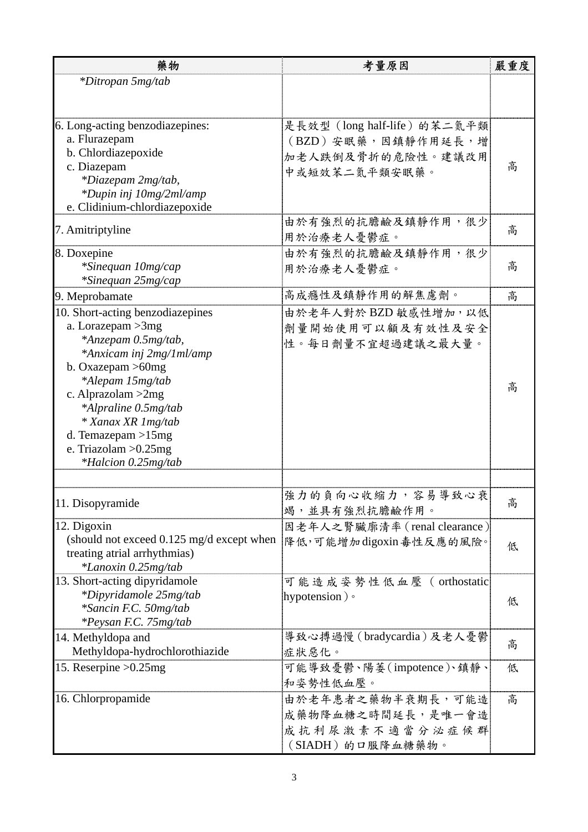| 藥物                                                  | 考量原因                         | 嚴重度 |
|-----------------------------------------------------|------------------------------|-----|
| *Ditropan 5mg/tab                                   |                              |     |
|                                                     |                              |     |
| 6. Long-acting benzodiazepines:                     | 是長效型(long half-life)的苯二氮平類   |     |
| a. Flurazepam                                       | (BZD) 安眠藥,因鎮靜作用延長,增          |     |
| b. Chlordiazepoxide                                 | 加老人跌倒及骨折的危險性。建議改用            |     |
| c. Diazepam                                         |                              | 高   |
| *Diazepam 2mg/tab,                                  | 中或短效苯二氮平類安眠藥。                |     |
| *Dupin inj 10mg/2ml/amp                             |                              |     |
| e. Clidinium-chlordiazepoxide                       |                              |     |
|                                                     | 由於有強烈的抗膽鹼及鎮靜作用,很少            |     |
| 7. Amitriptyline                                    | 用於治療老人憂鬱症。                   | 高   |
| 8. Doxepine                                         | 由於有強烈的抗膽鹼及鎮靜作用,很少            |     |
| *Sinequan 10mg/cap                                  | 用於治療老人憂鬱症。                   | 高   |
| *Sinequan 25mg/cap                                  |                              |     |
| 9. Meprobamate                                      | 高成癮性及鎮靜作用的解焦慮劑。              | 高   |
| 10. Short-acting benzodiazepines                    | 由於老年人對於 BZD 敏感性增加, 以低        |     |
| a. Lorazepam $>3mg$                                 | 劑量開始使用可以顧及有效性及安全             |     |
| *Anzepam 0.5mg/tab,                                 | 性。每日劑量不宜超過建議之最大量。            |     |
| *Anxicam inj 2mg/1ml/amp                            |                              |     |
| b. Oxazepam $>60$ mg                                |                              |     |
| *Alepam 15mg/tab                                    |                              | 高   |
| c. Alprazolam $>2mg$                                |                              |     |
| *Alpraline 0.5mg/tab                                |                              |     |
| * Xanax XR 1 mg/tab                                 |                              |     |
| d. Temazepam $>15mg$                                |                              |     |
| e. Triazolam $>0.25$ mg                             |                              |     |
| <i>*Halcion 0.25mg/tab</i>                          |                              |     |
|                                                     |                              |     |
| 11. Disopyramide                                    | 強力的負向心收縮力,容易導致心衰             | 高   |
|                                                     | 竭,並具有強烈抗膽鹼作用。                |     |
| 12. Digoxin                                         | 因老年人之腎臟廓清率 (renal clearance) |     |
| (should not exceed $0.125 \text{ mg/d}$ except when | 降低,可能增加digoxin毒性反應的風險。       | 低   |
| treating atrial arrhythmias)                        |                              |     |
| *Lanoxin 0.25mg/tab                                 |                              |     |
| 13. Short-acting dipyridamole                       | 可能造成姿勢性低血壓(orthostatic       |     |
| *Dipyridamole 25mg/tab                              | hypotension) $\circ$         | 低   |
| *Sancin F.C. 50mg/tab                               |                              |     |
| <i>*Peysan F.C. 75mg/tab</i>                        | 導致心搏過慢 (bradycardia)及老人憂鬱    |     |
| 14. Methyldopa and                                  |                              | 高   |
| Methyldopa-hydrochlorothiazide                      | 症狀惡化。                        |     |
| 15. Reserpine $>0.25$ mg                            | 可能導致憂鬱、陽萎(impotence)、鎮靜、     | 低   |
|                                                     | 和姿勢性低血壓。                     |     |
| 16. Chlorpropamide                                  | 由於老年患者之藥物半衰期長,可能造            | 高   |
|                                                     | 成藥物降血糖之時間延長,是唯一會造            |     |
|                                                     | 成抗利尿激素不適當分泌症候群               |     |
|                                                     | (SIADH)的口服降血糖藥物。             |     |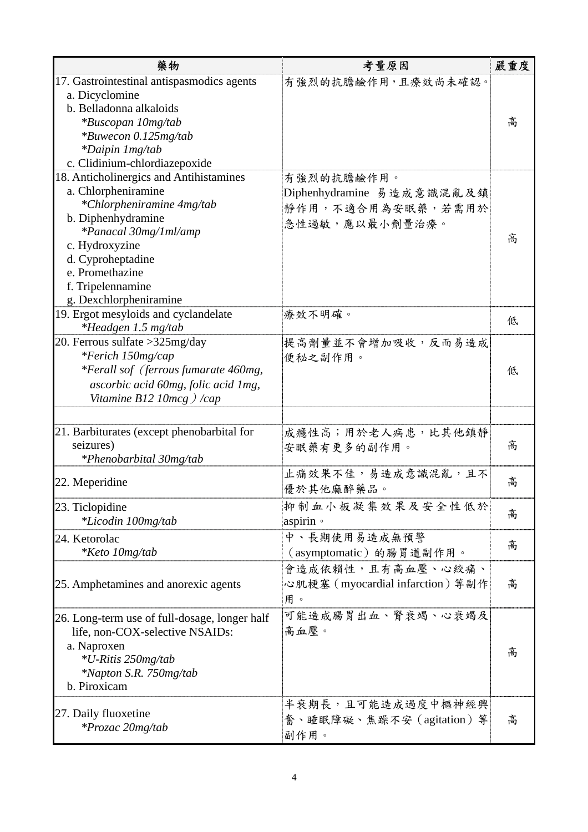| 藥物                                            | 考量原因                             | 嚴重度 |
|-----------------------------------------------|----------------------------------|-----|
| 17. Gastrointestinal antispasmodics agents    | 有強烈的抗膽鹼作用,且療效尚未確認。               |     |
| a. Dicyclomine                                |                                  |     |
| b. Belladonna alkaloids                       |                                  |     |
| <i>*Buscopan 10mg/tab</i>                     |                                  | 高   |
| *Buwecon 0.125mg/tab                          |                                  |     |
| <i>*Daipin 1mg/tab</i>                        |                                  |     |
| c. Clidinium-chlordiazepoxide                 |                                  |     |
| 18. Anticholinergics and Antihistamines       | 有強烈的抗膽鹼作用。                       |     |
| a. Chlorpheniramine                           | Diphenhydramine 易造成意識混亂及鎮        |     |
| *Chlorpheniramine 4mg/tab                     | 靜作用,不適合用為安眠藥,若需用於                |     |
| b. Diphenhydramine                            | 急性過敏,應以最小劑量治療。                   |     |
| *Panacal 30mg/1ml/amp                         |                                  |     |
| c. Hydroxyzine                                |                                  | 高   |
| d. Cyproheptadine                             |                                  |     |
| e. Promethazine                               |                                  |     |
| f. Tripelennamine                             |                                  |     |
| g. Dexchlorpheniramine                        |                                  |     |
| 19. Ergot mesyloids and cyclandelate          | 療效不明確。                           |     |
| *Headgen 1.5 mg/tab                           |                                  | 低   |
| 20. Ferrous sulfate > 325 mg/day              | 提高劑量並不會增加吸收,反而易造成                |     |
| *Ferich 150mg/cap                             | 便秘之副作用。                          |     |
| *Ferall sof (ferrous fumarate 460mg,          |                                  | 低   |
| ascorbic acid 60mg, folic acid 1mg,           |                                  |     |
| Vitamine B12 10mcg $\frac{1}{cap}$            |                                  |     |
|                                               |                                  |     |
| 21. Barbiturates (except phenobarbital for    | 成癮性高;用於老人病患,比其他鎮靜                |     |
| seizures)                                     |                                  | 高   |
| *Phenobarbital 30mg/tab                       | 安眠藥有更多的副作用。                      |     |
|                                               | 止痛效果不佳,易造成意識混亂,且不                |     |
| 22. Meperidine                                |                                  | 高   |
|                                               | 優於其他麻醉藥品。                        |     |
| 23. Ticlopidine                               | 抑制血小板凝集效果及安全性低於                  | 高   |
| *Licodin 100mg/tab                            | aspirin ·                        |     |
| 24. Ketorolac                                 | 中、長期使用易造成無預警                     |     |
| <i>*Keto 10mg/tab</i>                         | (asymptomatic) 的腸胃道副作用。          | 高   |
|                                               | 會造成依賴性,且有高血壓、心絞痛、                |     |
| 25. Amphetamines and anorexic agents          | 心肌梗塞 (myocardial infarction) 等副作 | 高   |
|                                               |                                  |     |
|                                               | 用。                               |     |
| 26. Long-term use of full-dosage, longer half | 可能造成腸胃出血、腎衰竭、心衰竭及                |     |
| life, non-COX-selective NSAIDs:               | 高血壓。                             |     |
| a. Naproxen                                   |                                  | 高   |
| *U-Ritis 250mg/tab                            |                                  |     |
| *Napton S.R. 750mg/tab                        |                                  |     |
| b. Piroxicam                                  |                                  |     |
|                                               | 半衰期長,且可能造成過度中樞神經興                |     |
| 27. Daily fluoxetine                          | 奮、睡眠障礙、焦躁不安 (agitation) 等        | 高   |
| *Prozac 20mg/tab                              | 副作用。                             |     |
|                                               |                                  |     |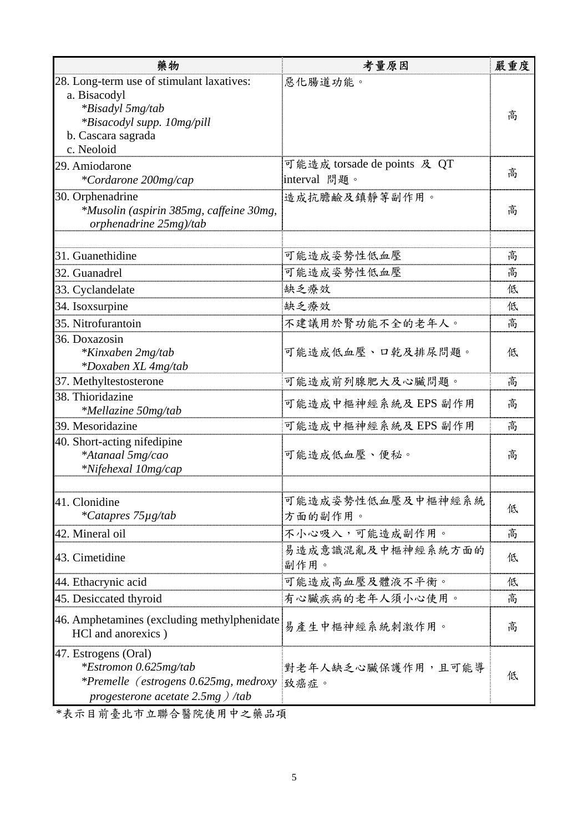| 藥物                                                                                                                                       | 考量原因                                        | 嚴重度 |
|------------------------------------------------------------------------------------------------------------------------------------------|---------------------------------------------|-----|
| 28. Long-term use of stimulant laxatives:<br>a. Bisacodyl<br>*Bisadyl 5mg/tab<br><i>*Bisacodyl supp. 10mg/pill</i><br>b. Cascara sagrada | 惡化腸道功能。                                     | 高   |
| c. Neoloid                                                                                                                               |                                             |     |
| 29. Amiodarone<br>*Cordarone 200mg/cap                                                                                                   | 可能造成 torsade de points 及 QT<br>interval 問題。 | 高   |
| 30. Orphenadrine<br>*Musolin (aspirin 385mg, caffeine 30mg,<br>orphenadrine 25mg)/tab                                                    | 造成抗膽鹼及鎮靜等副作用。                               | 高   |
| 31. Guanethidine                                                                                                                         | 可能造成姿勢性低血壓                                  | 高   |
| 32. Guanadrel                                                                                                                            | 可能造成姿勢性低血壓                                  | 高   |
| 33. Cyclandelate                                                                                                                         | 缺乏療效                                        | 低   |
| 34. Isoxsurpine                                                                                                                          | 缺乏療效                                        | 低   |
| 35. Nitrofurantoin                                                                                                                       | 不建議用於腎功能不全的老年人。                             | 高   |
| 36. Doxazosin<br>*Kinxaben 2mg/tab<br>*Doxaben XL 4mg/tab                                                                                | 可能造成低血壓、口乾及排尿問題。                            | 低   |
| 37. Methyltestosterone                                                                                                                   | 可能造成前列腺肥大及心臟問題。                             | 高   |
| 38. Thioridazine<br>*Mellazine 50mg/tab                                                                                                  | 可能造成中樞神經系統及 EPS 副作用                         | 高   |
| 39. Mesoridazine                                                                                                                         | 可能造成中樞神經系統及 EPS 副作用                         | 高   |
| 40. Short-acting nifedipine<br>*Atanaal 5mg/cao<br>*Nifehexal 10mg/cap                                                                   | 可能造成低血壓、便秘。                                 | 高   |
| 41. Clonidine<br>*Catapres 75µg/tab                                                                                                      | 可能造成姿勢性低血壓及中樞神經系統<br>方面的副作用。                | 低   |
| 42. Mineral oil                                                                                                                          | 不小心吸入,可能造成副作用。                              | 高   |
| 43. Cimetidine                                                                                                                           | 易造成意識混亂及中樞神經系統方面的<br>副作用。                   | 低   |
| 44. Ethacrynic acid                                                                                                                      | 可能造成高血壓及體液不平衡。                              | 低   |
| 45. Desiccated thyroid                                                                                                                   | 有心臟疾病的老年人須小心使用。                             | 高   |
| 46. Amphetamines (excluding methylphenidate<br>HCl and anorexics)                                                                        | 易產生中樞神經系統刺激作用。                              | 高   |
| 47. Estrogens (Oral)<br>*Estromon 0.625mg/tab<br>*Premelle (estrogens 0.625mg, medroxy<br>progesterone acetate $2.5mg$ ) /tab            | 對老年人缺乏心臟保護作用,且可能導<br>致癌症。                   | 低   |

\*表示目前臺北市立聯合醫院使用中之藥品項